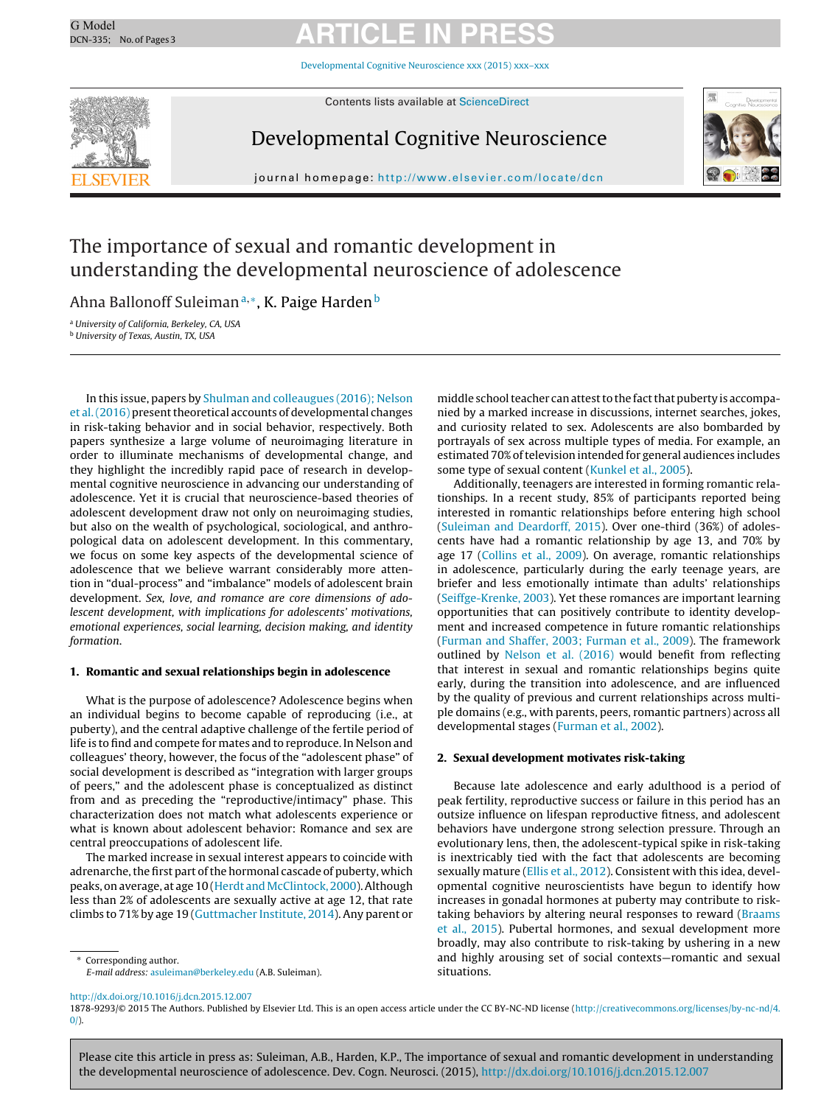# G Model G Model **ARTICLE IN PRESS**

[Developmental](dx.doi.org/10.1016/j.dcn.2015.12.007) Cognitive Neuroscience xxx (2015) xxx–xxx



Contents lists available at [ScienceDirect](http://www.sciencedirect.com/science/journal/18789293)

## Developmental Cognitive Neuroscience



iournal homepage: <http://www.elsevier.com/locate/dcn>

# The importance of sexual and romantic development in understanding the developmental neuroscience of adolescence

Ahna Ballonoff Suleiman<sup>a,∗</sup>, K. Paige Harden<sup>b</sup>

<sup>a</sup> University of California, Berkeley, CA, USA <sup>b</sup> University of Texas, Austin, TX, USA

In this issue, papers by [Shulman](#page-2-0) [and](#page-2-0) [colleaugues](#page-2-0) [\(2016\);](#page-2-0) [Nelson](#page-2-0) et al.  $(2016)$  present theoretical accounts of developmental changes in risk-taking behavior and in social behavior, respectively. Both papers synthesize a large volume of neuroimaging literature in order to illuminate mechanisms of developmental change, and they highlight the incredibly rapid pace of research in developmental cognitive neuroscience in advancing our understanding of adolescence. Yet it is crucial that neuroscience-based theories of adolescent development draw not only on neuroimaging studies, but also on the wealth of psychological, sociological, and anthropological data on adolescent development. In this commentary, we focus on some key aspects of the developmental science of adolescence that we believe warrant considerably more attention in "dual-process" and "imbalance" models of adolescent brain development. Sex, love, and romance are core dimensions of adolescent development, with implications for adolescents' motivations, emotional experiences, social learning, decision making, and identity formation.

### **1. Romantic and sexual relationships begin in adolescence**

What is the purpose of adolescence? Adolescence begins when an individual begins to become capable of reproducing (i.e., at puberty), and the central adaptive challenge of the fertile period of life is to find and compete for mates and to reproduce. In Nelson and colleagues' theory, however, the focus of the "adolescent phase" of social development is described as "integration with larger groups of peers," and the adolescent phase is conceptualized as distinct from and as preceding the "reproductive/intimacy" phase. This characterization does not match what adolescents experience or what is known about adolescent behavior: Romance and sex are central preoccupations of adolescent life.

The marked increase in sexual interest appears to coincide with adrenarche, the first part of the hormonal cascade of puberty, which peaks, on average, at age 10 ([Herdt](#page-1-0) and McClintock, [2000\).](#page-1-0) Although less than 2% of adolescents are sexually active at age 12, that rate climbs to 71% by age 19 [\(Guttmacher](#page-1-0) [Institute,](#page-1-0) [2014\).](#page-1-0) Any parent or

middle school teacher can attest to the fact that puberty is accompanied by a marked increase in discussions, internet searches, jokes, and curiosity related to sex. Adolescents are also bombarded by portrayals of sex across multiple types of media. For example, an estimated 70% of television intended for general audiences includes some type of sexual content [\(Kunkel](#page-1-0) et [al.,](#page-1-0) [2005\).](#page-1-0)

Additionally, teenagers are interested in forming romantic relationships. In a recent study, 85% of participants reported being interested in romantic relationships before entering high school [\(Suleiman](#page-2-0) [and](#page-2-0) [Deardorff,](#page-2-0) [2015\).](#page-2-0) Over one-third (36%) of adolescents have had a romantic relationship by age 13, and 70% by age 17 ([Collins](#page-1-0) et [al.,](#page-1-0) [2009\).](#page-1-0) On average, romantic relationships in adolescence, particularly during the early teenage years, are briefer and less emotionally intimate than adults' relationships [\(Seiffge-Krenke,](#page-2-0) [2003\).](#page-2-0) Yet these romances are important learning opportunities that can positively contribute to identity development and increased competence in future romantic relationships [\(Furman](#page-1-0) [and](#page-1-0) [Shaffer,](#page-1-0) [2003;](#page-1-0) [Furman](#page-1-0) et [al.,](#page-1-0) [2009\).](#page-1-0) The framework outlined by [Nelson](#page-1-0) et [al.](#page-1-0) [\(2016\)](#page-1-0) would benefit from reflecting that interest in sexual and romantic relationships begins quite early, during the transition into adolescence, and are influenced by the quality of previous and current relationships across multiple domains (e.g., with parents, peers, romantic partners) across all developmental stages [\(Furman](#page-1-0) et [al.,](#page-1-0) [2002\).](#page-1-0)

### **2. Sexual development motivates risk-taking**

Because late adolescence and early adulthood is a period of peak fertility, reproductive success or failure in this period has an outsize influence on lifespan reproductive fitness, and adolescent behaviors have undergone strong selection pressure. Through an evolutionary lens, then, the adolescent-typical spike in risk-taking is inextricably tied with the fact that adolescents are becoming sexually mature ([Ellis](#page-1-0) et [al.,](#page-1-0) [2012\).](#page-1-0) Consistent with this idea, developmental cognitive neuroscientists have begun to identify how increases in gonadal hormones at puberty may contribute to risktaking behaviors by altering neural responses to reward [\(Braams](#page-1-0) et [al.,](#page-1-0) [2015\).](#page-1-0) Pubertal hormones, and sexual development more broadly, may also contribute to risk-taking by ushering in a new and highly arousing set of social contexts—romantic and sexual situations.

Please cite this article in press as: Suleiman, A.B., Harden, K.P., The importance of sexual and romantic development in understanding the developmental neuroscience of adolescence. Dev. Cogn. Neurosci. (2015), [http://dx.doi.org/10.1016/j.dcn.2015.12.007](dx.doi.org/10.1016/j.dcn.2015.12.007)

<sup>∗</sup> Corresponding author.

E-mail address: [asuleiman@berkeley.edu](mailto:asuleiman@berkeley.edu) (A.B. Suleiman).

[http://dx.doi.org/10.1016/j.dcn.2015.12.007](dx.doi.org/10.1016/j.dcn.2015.12.007)

<sup>1878-9293/©</sup> 2015 The Authors. Published by Elsevier Ltd. This is an open access article under the CC BY-NC-ND license [\(http://creativecommons.org/licenses/by-nc-nd/4.](http://creativecommons.org/licenses/by-nc-nd/4.0/)  $0/$ ).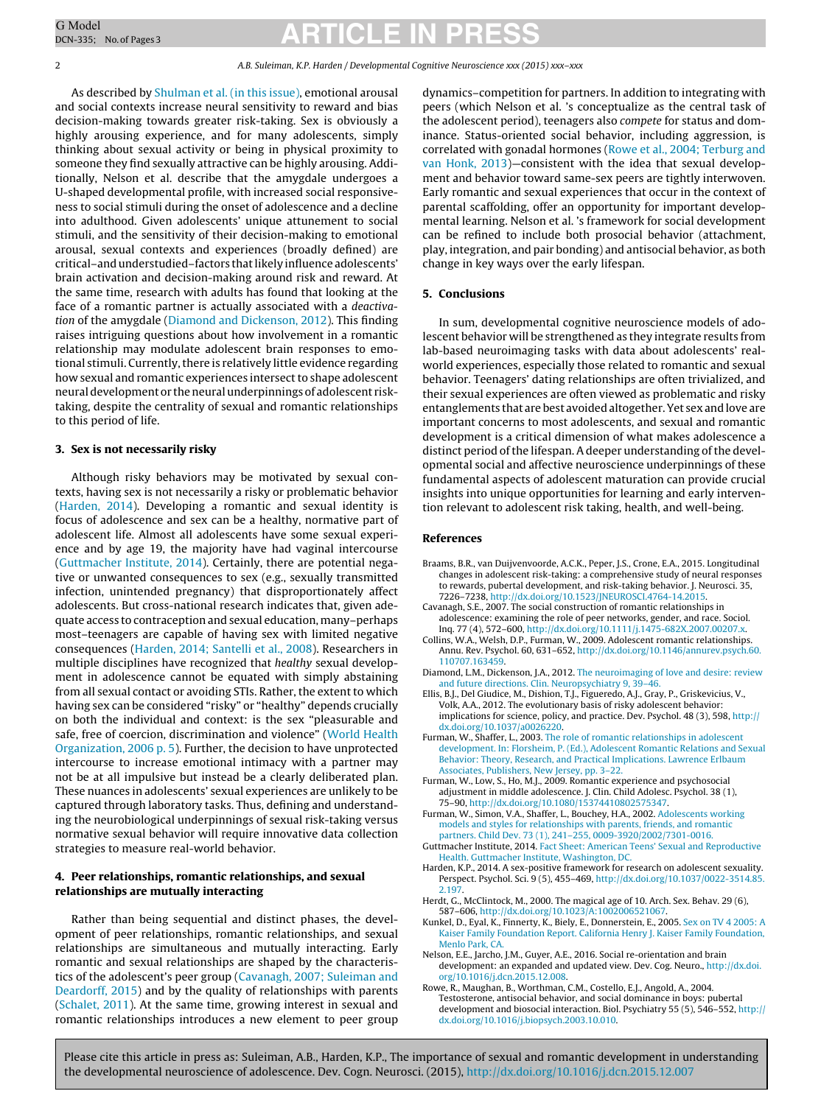# <span id="page-1-0"></span>G Model G Model **ARTICLE IN PRESS**

2 A.B. Suleiman, K.P. Harden / Developmental Cognitive Neuroscience xxx (2015) xxx–xxx

As described by [Shulman](#page-2-0) et [al.](#page-2-0) [\(in](#page-2-0) [this](#page-2-0) [issue\),](#page-2-0) emotional arousal and social contexts increase neural sensitivity to reward and bias decision-making towards greater risk-taking. Sex is obviously a highly arousing experience, and for many adolescents, simply thinking about sexual activity or being in physical proximity to someone they find sexually attractive can be highly arousing. Additionally, Nelson et al. describe that the amygdale undergoes a U-shaped developmental profile, with increased social responsiveness to social stimuli during the onset of adolescence and a decline into adulthood. Given adolescents' unique attunement to social stimuli, and the sensitivity of their decision-making to emotional arousal, sexual contexts and experiences (broadly defined) are critical-and understudied-factors that likely influence adolescents' brain activation and decision-making around risk and reward. At the same time, research with adults has found that looking at the face of a romantic partner is actually associated with a deactivation of the amygdale (Diamond and Dickenson, 2012). This finding raises intriguing questions about how involvement in a romantic relationship may modulate adolescent brain responses to emotional stimuli. Currently, there is relatively little evidence regarding how sexual and romantic experiences intersect to shape adolescent neural development or the neural underpinnings of adolescent risktaking, despite the centrality of sexual and romantic relationships to this period of life.

#### **3. Sex is not necessarily risky**

Although risky behaviors may be motivated by sexual contexts, having sex is not necessarily a risky or problematic behavior (Harden, 2014). Developing a romantic and sexual identity is focus of adolescence and sex can be a healthy, normative part of adolescent life. Almost all adolescents have some sexual experience and by age 19, the majority have had vaginal intercourse (Guttmacher Institute, 2014). Certainly, there are potential negative or unwanted consequences to sex (e.g., sexually transmitted infection, unintended pregnancy) that disproportionately affect adolescents. But cross-national research indicates that, given adequate access to contraception and sexual education, many–perhaps most–teenagers are capable of having sex with limited negative consequences (Harden, 2014; Santelli et al., 2008). Researchers in multiple disciplines have recognized that healthy sexual development in adolescence cannot be equated with simply abstaining from all sexual contact or avoiding STIs. Rather, the extent to which having sex can be considered "risky" or "healthy" depends crucially on both the individual and context: is the sex "pleasurable and safe, free of coercion, discrimination and violence" [\(World](#page-2-0) [Health](#page-2-0) [Organization,](#page-2-0) [2006](#page-2-0) [p.](#page-2-0) [5\).](#page-2-0) Further, the decision to have unprotected intercourse to increase emotional intimacy with a partner may not be at all impulsive but instead be a clearly deliberated plan. These nuances in adolescents' sexual experiences are unlikely to be captured through laboratory tasks. Thus, defining and understanding the neurobiological underpinnings of sexual risk-taking versus normative sexual behavior will require innovative data collection strategies to measure real-world behavior.

## **4. Peer relationships, romantic relationships, and sexual relationships are mutually interacting**

Rather than being sequential and distinct phases, the development of peer relationships, romantic relationships, and sexual relationships are simultaneous and mutually interacting. Early romantic and sexual relationships are shaped by the characteristics of the adolescent's peer group (Cavanagh, 2007; Suleiman and Deardorff, 2015) and by the quality of relationships with parents ([Schalet,](#page-2-0) [2011\).](#page-2-0) At the same time, growing interest in sexual and romantic relationships introduces a new element to peer group

dynamics–competition for partners. In addition to integrating with peers (which Nelson et al. 's conceptualize as the central task of the adolescent period), teenagers also compete for status and dominance. Status-oriented social behavior, including aggression, is correlated with gonadal hormones (Rowe et al., 2004; Terburg and van Honk, 2013)—consistent with the idea that sexual development and behavior toward same-sex peers are tightly interwoven. Early romantic and sexual experiences that occur in the context of parental scaffolding, offer an opportunity for important developmental learning. Nelson et al. 's framework for social development can be refined to include both prosocial behavior (attachment, play, integration, and pair bonding) and antisocial behavior, as both change in key ways over the early lifespan.

### **5. Conclusions**

In sum, developmental cognitive neuroscience models of adolescent behavior will be strengthened as they integrate results from lab-based neuroimaging tasks with data about adolescents' realworld experiences, especially those related to romantic and sexual behavior. Teenagers' dating relationships are often trivialized, and their sexual experiences are often viewed as problematic and risky entanglements that are best avoidedaltogether.Yet sex andlove are important concerns to most adolescents, and sexual and romantic development is a critical dimension of what makes adolescence a distinct period of the lifespan. A deeper understanding of the developmental social and affective neuroscience underpinnings of these fundamental aspects of adolescent maturation can provide crucial insights into unique opportunities for learning and early intervention relevant to adolescent risk taking, health, and well-being.

#### **References**

- Braams, B.R., van Duijvenvoorde, A.C.K., Peper, J.S., Crone, E.A., 2015. Longitudinal changes in adolescent risk-taking: a comprehensive study of neural responses to rewards, pubertal development, and risk-taking behavior. J. Neurosci. 35, 7226–7238, [http://dx.doi.org/10.1523/JNEUROSCI.4764-14.2015.](dx.doi.org/10.1523/JNEUROSCI.4764-14.2015)
- Cavanagh, S.E., 2007. The social construction of romantic relationships in adolescence: examining the role of peer networks, gender, and race. Sociol. Inq. 77 (4), 572–600, [http://dx.doi.org/10.1111/j.1475-682X.2007.00207.x.](dx.doi.org/10.1111/j.1475-682X.2007.00207.x)
- Collins, W.A., Welsh, D.P., Furman, W., 2009. Adolescent romantic relationships. Annu. Rev. Psychol. 60, 631–652, [http://dx.doi.org/10.1146/annurev.psych.60.](dx.doi.org/10.1146/annurev.psych.60.110707.163459) [110707.163459.](dx.doi.org/10.1146/annurev.psych.60.110707.163459)
- Diamond, L.M., Dickenson, J.A., 2012. [The](http://refhub.elsevier.com/S1878-9293(15)00126-7/sbref0020) [neuroimaging](http://refhub.elsevier.com/S1878-9293(15)00126-7/sbref0020) [of](http://refhub.elsevier.com/S1878-9293(15)00126-7/sbref0020) [love](http://refhub.elsevier.com/S1878-9293(15)00126-7/sbref0020) [and](http://refhub.elsevier.com/S1878-9293(15)00126-7/sbref0020) [desire:](http://refhub.elsevier.com/S1878-9293(15)00126-7/sbref0020) [review](http://refhub.elsevier.com/S1878-9293(15)00126-7/sbref0020)
- [and](http://refhub.elsevier.com/S1878-9293(15)00126-7/sbref0020) [future](http://refhub.elsevier.com/S1878-9293(15)00126-7/sbref0020) [directions.](http://refhub.elsevier.com/S1878-9293(15)00126-7/sbref0020) [Clin.](http://refhub.elsevier.com/S1878-9293(15)00126-7/sbref0020) [Neuropsychiatry](http://refhub.elsevier.com/S1878-9293(15)00126-7/sbref0020) [9,](http://refhub.elsevier.com/S1878-9293(15)00126-7/sbref0020) [39](http://refhub.elsevier.com/S1878-9293(15)00126-7/sbref0020)–[46.](http://refhub.elsevier.com/S1878-9293(15)00126-7/sbref0020) Ellis, B.J., Del Giudice, M., Dishion, T.J., Figueredo, A.J., Gray, P., Griskevicius, V., Volk, A.A., 2012. The evolutionary basis of risky adolescent behavior: implications for science, policy, and practice. Dev. Psychol. 48 (3), 598, [http://](dx.doi.org/10.1037/a0026220) <dx.doi.org/10.1037/a0026220>.
- Furman, W., Shaffer, L., 2003. [The](http://refhub.elsevier.com/S1878-9293(15)00126-7/sbref0030) [role](http://refhub.elsevier.com/S1878-9293(15)00126-7/sbref0030) [of](http://refhub.elsevier.com/S1878-9293(15)00126-7/sbref0030) [romantic](http://refhub.elsevier.com/S1878-9293(15)00126-7/sbref0030) [relationships](http://refhub.elsevier.com/S1878-9293(15)00126-7/sbref0030) [in](http://refhub.elsevier.com/S1878-9293(15)00126-7/sbref0030) [adolescent](http://refhub.elsevier.com/S1878-9293(15)00126-7/sbref0030) [development.](http://refhub.elsevier.com/S1878-9293(15)00126-7/sbref0030) [In:](http://refhub.elsevier.com/S1878-9293(15)00126-7/sbref0030) [Florsheim,](http://refhub.elsevier.com/S1878-9293(15)00126-7/sbref0030) [P.](http://refhub.elsevier.com/S1878-9293(15)00126-7/sbref0030) [\(Ed.\),](http://refhub.elsevier.com/S1878-9293(15)00126-7/sbref0030) [Adolescent](http://refhub.elsevier.com/S1878-9293(15)00126-7/sbref0030) [Romantic](http://refhub.elsevier.com/S1878-9293(15)00126-7/sbref0030) [Relations](http://refhub.elsevier.com/S1878-9293(15)00126-7/sbref0030) [and](http://refhub.elsevier.com/S1878-9293(15)00126-7/sbref0030) [Sexual](http://refhub.elsevier.com/S1878-9293(15)00126-7/sbref0030) [Behavior:](http://refhub.elsevier.com/S1878-9293(15)00126-7/sbref0030) [Theory,](http://refhub.elsevier.com/S1878-9293(15)00126-7/sbref0030) [Research,](http://refhub.elsevier.com/S1878-9293(15)00126-7/sbref0030) [and](http://refhub.elsevier.com/S1878-9293(15)00126-7/sbref0030) [Practical](http://refhub.elsevier.com/S1878-9293(15)00126-7/sbref0030) [Implications.](http://refhub.elsevier.com/S1878-9293(15)00126-7/sbref0030) [Lawrence](http://refhub.elsevier.com/S1878-9293(15)00126-7/sbref0030) [Erlbaum](http://refhub.elsevier.com/S1878-9293(15)00126-7/sbref0030) [Associates,](http://refhub.elsevier.com/S1878-9293(15)00126-7/sbref0030) [Publishers,](http://refhub.elsevier.com/S1878-9293(15)00126-7/sbref0030) [New](http://refhub.elsevier.com/S1878-9293(15)00126-7/sbref0030) [Jersey,](http://refhub.elsevier.com/S1878-9293(15)00126-7/sbref0030) [pp.](http://refhub.elsevier.com/S1878-9293(15)00126-7/sbref0030) [3–22.](http://refhub.elsevier.com/S1878-9293(15)00126-7/sbref0030)
- Furman, W., Low, S., Ho, M.J., 2009. Romantic experience and psychosocial adjustment in middle adolescence. J. Clin. Child Adolesc. Psychol. 38 (1), 75–90, [http://dx.doi.org/10.1080/15374410802575347.](dx.doi.org/10.1080/15374410802575347)
- Furman, W., Simon, V.A., Shaffer, L., Bouchey, H.A., 2002. [Adolescents](http://refhub.elsevier.com/S1878-9293(15)00126-7/sbref0040) [working](http://refhub.elsevier.com/S1878-9293(15)00126-7/sbref0040) [models](http://refhub.elsevier.com/S1878-9293(15)00126-7/sbref0040) [and](http://refhub.elsevier.com/S1878-9293(15)00126-7/sbref0040) [styles](http://refhub.elsevier.com/S1878-9293(15)00126-7/sbref0040) [for](http://refhub.elsevier.com/S1878-9293(15)00126-7/sbref0040) [relationships](http://refhub.elsevier.com/S1878-9293(15)00126-7/sbref0040) [with](http://refhub.elsevier.com/S1878-9293(15)00126-7/sbref0040) [parents,](http://refhub.elsevier.com/S1878-9293(15)00126-7/sbref0040) [friends,](http://refhub.elsevier.com/S1878-9293(15)00126-7/sbref0040) [and](http://refhub.elsevier.com/S1878-9293(15)00126-7/sbref0040) [romantic](http://refhub.elsevier.com/S1878-9293(15)00126-7/sbref0040) [partners.](http://refhub.elsevier.com/S1878-9293(15)00126-7/sbref0040) [Child](http://refhub.elsevier.com/S1878-9293(15)00126-7/sbref0040) [Dev.](http://refhub.elsevier.com/S1878-9293(15)00126-7/sbref0040) [73](http://refhub.elsevier.com/S1878-9293(15)00126-7/sbref0040) [\(1\),](http://refhub.elsevier.com/S1878-9293(15)00126-7/sbref0040) [241–255,](http://refhub.elsevier.com/S1878-9293(15)00126-7/sbref0040) [0009-3920/2002/7301-0016.](http://refhub.elsevier.com/S1878-9293(15)00126-7/sbref0040)
- Guttmacher Institute, 2014. [Fact](http://refhub.elsevier.com/S1878-9293(15)00126-7/sbref0045) [Sheet:](http://refhub.elsevier.com/S1878-9293(15)00126-7/sbref0045) [American](http://refhub.elsevier.com/S1878-9293(15)00126-7/sbref0045) [Teens'](http://refhub.elsevier.com/S1878-9293(15)00126-7/sbref0045) [Sexual](http://refhub.elsevier.com/S1878-9293(15)00126-7/sbref0045) [and](http://refhub.elsevier.com/S1878-9293(15)00126-7/sbref0045) [Reproductive](http://refhub.elsevier.com/S1878-9293(15)00126-7/sbref0045) [Health.](http://refhub.elsevier.com/S1878-9293(15)00126-7/sbref0045) [Guttmacher](http://refhub.elsevier.com/S1878-9293(15)00126-7/sbref0045) [Institute,](http://refhub.elsevier.com/S1878-9293(15)00126-7/sbref0045) [Washington,](http://refhub.elsevier.com/S1878-9293(15)00126-7/sbref0045) [DC.](http://refhub.elsevier.com/S1878-9293(15)00126-7/sbref0045)
- Harden, K.P., 2014. A sex-positive framework for research on adolescent sexuality. Perspect. Psychol. Sci. 9 (5), 455–469, [http://dx.doi.org/10.1037/0022-3514.85.](dx.doi.org/10.1037/0022-3514.85.2.197) [2.197](dx.doi.org/10.1037/0022-3514.85.2.197).
- Herdt, G., McClintock, M., 2000. The magical age of 10. Arch. Sex. Behav. 29 (6), 587–606, [http://dx.doi.org/10.1023/A:1002006521067.](dx.doi.org/10.1023/A:1002006521067)
- Kunkel, D., Eyal, K., Finnerty, K., Biely, E., Donnerstein, E., 2005. [Sex](http://refhub.elsevier.com/S1878-9293(15)00126-7/sbref0060) [on](http://refhub.elsevier.com/S1878-9293(15)00126-7/sbref0060) [TV](http://refhub.elsevier.com/S1878-9293(15)00126-7/sbref0060) [4](http://refhub.elsevier.com/S1878-9293(15)00126-7/sbref0060) [2005:](http://refhub.elsevier.com/S1878-9293(15)00126-7/sbref0060) [A](http://refhub.elsevier.com/S1878-9293(15)00126-7/sbref0060) [Kaiser](http://refhub.elsevier.com/S1878-9293(15)00126-7/sbref0060) [Family](http://refhub.elsevier.com/S1878-9293(15)00126-7/sbref0060) [Foundation](http://refhub.elsevier.com/S1878-9293(15)00126-7/sbref0060) [Report.](http://refhub.elsevier.com/S1878-9293(15)00126-7/sbref0060) [California](http://refhub.elsevier.com/S1878-9293(15)00126-7/sbref0060) [Henry](http://refhub.elsevier.com/S1878-9293(15)00126-7/sbref0060) [J.](http://refhub.elsevier.com/S1878-9293(15)00126-7/sbref0060) [Kaiser](http://refhub.elsevier.com/S1878-9293(15)00126-7/sbref0060) [Family](http://refhub.elsevier.com/S1878-9293(15)00126-7/sbref0060) [Foundation,](http://refhub.elsevier.com/S1878-9293(15)00126-7/sbref0060) [Menlo](http://refhub.elsevier.com/S1878-9293(15)00126-7/sbref0060) [Park,](http://refhub.elsevier.com/S1878-9293(15)00126-7/sbref0060) [CA.](http://refhub.elsevier.com/S1878-9293(15)00126-7/sbref0060)
- Nelson, E.E., Jarcho, J.M., Guyer, A.E., 2016. Social re-orientation and brain development: an expanded and updated view. Dev. Cog. Neuro., [http://dx.doi.](dx.doi.org/10.1016/j.dcn.2015.12.008) [org/10.1016/j.dcn.2015.12.008.](dx.doi.org/10.1016/j.dcn.2015.12.008)
- Rowe, R., Maughan, B., Worthman, C.M., Costello, E.J., Angold, A., 2004. Testosterone, antisocial behavior, and social dominance in boys: pubertal development and biosocial interaction. Biol. Psychiatry 55 (5), 546–552, [http://](dx.doi.org/10.1016/j.biopsych.2003.10.010) <dx.doi.org/10.1016/j.biopsych.2003.10.010>.

Please cite this article in press as: Suleiman, A.B., Harden, K.P., The importance of sexual and romantic development in understanding the developmental neuroscience of adolescence. Dev. Cogn. Neurosci. (2015), [http://dx.doi.org/10.1016/j.dcn.2015.12.007](dx.doi.org/10.1016/j.dcn.2015.12.007)